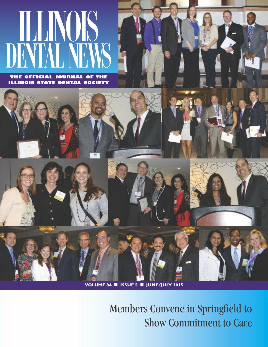# ILLINOIS DENTAL NEWS

**THE OFFICIAL JOURNAL OF THE ILLINOIS STATE DENTAL SOCIETY**



**VOLUME 84** ■ **ISSUE 5** ■ **JUNE/JULY 2015**

Members Convene in Springfield to Show Commitment to Care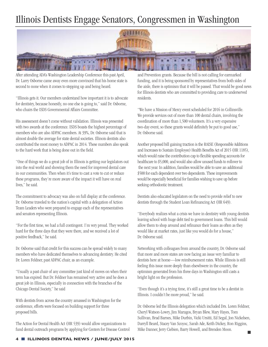#### Illinois Dentists Engage Senators, Congressmen in Washington



After attending ADA's Washington Leadership Conference this past April, Dr. Larry Osborne came away even more convinced that his home state is second to none when it comes to stepping up and being heard.

"Illinois gets it. Our members understand how important it is to advocate for dentistry, because honestly, no one else is going to," said Dr. Osborne, who chairs the ISDS Governmental Affairs Committee.

His assessment doesn't come without validation. Illinois was presented with two awards at the conference. ISDS boasts the highest percentage of members who are also ADPAC members. At 39%, Dr. Osborne said that is almost double the average for state dental societies. Illinois dentists also contributed the most money to ADPAC in 2014. These numbers also speak to the hard work that is being done out in the field.

"One of things we do a great job of in Illinois is getting our legislators out into the real world and showing them the need for improved dental care in our communities. Then when it's time to cast a vote to cut or reduce these programs, they're more aware of the impact it will have on real lives," he said.

The commitment to advocacy was also on full display at the conference. Dr. Osborne traveled to the nation's capital with a delegation of Action Team Leaders who were prepared to engage each of the representatives and senators representing Illinois.

"For the first time, we had a full contingent. I'm very proud. They worked hard for the three days that they were there, and we received a lot of positive feedback," he said.

Dr. Osborne said that credit for this success can be spread widely to many members who have dedicated themselves to advancing dentistry. He cited Dr. Loren Feldner, past ADPAC chair, as an example.

"Usually a past chair of any committee just kind of moves on when their term has expired. But Dr. Feldner has remained very active and he does a great job in Illinois, especially in connection with the branches of the Chicago Dental Society," he said

With dentists from across the country amassed in Washington for the conference, efforts were focused on building support for three proposed bills.

The Action for Dental Health Act (HR 539) would allow organizations to fund dental outreach programs by applying for Centers for Disease Control and Prevention grants. Because the bill is not calling for earmarked funding, and it is being sponsored by representatives from both sides of the aisle, there is optimism that it will be passed. That would be good news for Illinois dentists who are committed to providing care to underserved residents.

"We have a Mission of Mercy event scheduled for 2016 in Collinsville. We provide services out of more than 100 dental chairs, involving the coordination of more than 1,500 volunteers. It's a very expensive two-day event, so these grants would definitely be put to good use," Dr. Osborne said.

Another proposed bill gaining traction is the RAISE (Responsible Additions and Increases to Sustain Employee) Health Benefits Act of 2015 (HR 1185), which would raise the contribution cap to flexible spending accounts for healthcare to \$5,000, and would also allow unused funds to rollover to the next year. In addition, families would be able to save an additional \$500 for each dependent over two dependents. These improvements would be especially beneficial for families wishing to save up before seeking orthodontic treatment.

Dentists also educated legislators on the need to provide relief to new dentists through the Student Loan Refinancing Act (HR 649).

"Everybody realizes what a crisis we have in dentistry with young dentists leaving school with huge debt tied to government loans. This bill would allow them to shop around and refinance their loans as often as they would like at market rates, just like you would do for a house," Dr. Osborne said.

Networking with colleagues from around the country, Dr. Osborne said that more and more states are now facing an issue very familiar to dentists here at home—low reimbursement rates. While Illinois is still feeling this issue more deeply than elsewhwere in the country, the optimism generated from his three days in Washington still casts a bright light on the profession.

"Even though it's a trying time, it's still a great time to be a dentist in Illinois. I couldn't be more proud," he said.

Dr. Osborne led the Illinois delegation which included Drs. Loren Feldner, Cheryl Watson-Lowry, Jim Maragos, Bryan Blew, Mary Hayes, Tom Sullivan, Brad Barnes, Mike Durbin, Vicki Ursitti, Ed Segal, Jon Nickelsen, Darryll Beard, Stacey Van Scoyoc, Sarah Ade, Keith Dickey, Ron Riggins, Mike Danner, Jerry Ciebien, Barry Howell, and Brenden Moon.  $\blacksquare$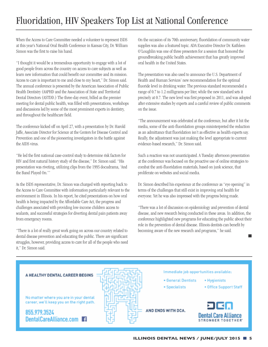# Fluoridation, HIV Speakers Top List at National Conference

When the Access to Care Committee needed a volunteer to represent ISDS at this year's National Oral Health Conference in Kansas City, Dr. William Simon was the first to raise his hand.

"I thought it would be a tremendous opportunity to engage with a lot of good people from across the country on access to care subjects as well as learn new information that could benefit our committee and its mission. Access to care is important to me and close to my heart," Dr. Simon said. The annual conference is presented by the American Association of Public Health Dentistry (AAPHD and the Association of State and Territorial Dental Directors (ASTDD.) The three-day event, billed as the premier meeting for dental public health, was filled with presentations, workshops and discussions led by some of the most prominent experts in dentistry, and throughout the healthcare field.

The conference kicked off on April 27, with a presentation by Dr. Harold Jaffe, Associate Director for Science at the Centers for Disease Control and Prevention and one of the pioneering investigators in the battle against the AIDS virus.

"He led the first national case-control study to determine risk factors for HIV and first natural history study of the disease," Dr. Simon said. "His presentation was riveting, utilizing clips from the 1993 docudrama, 'And the Band Played On.'"

As the ISDS representative, Dr. Simon was charged with reporting back to the Access to Care Committee with information particularly relevant to the environment in Illinois. In his report, he cited presentations on how oral health is being impacted by the Affordable Care Act, the progress and challenges associated with providing low-income children access to sealants, and successful strategies for diverting dental pain patients away from emergency rooms.

"There is a lot of really great work going on across our country related to dental disease prevention and educating the public. There are significant struggles, however, providing access to care for all of the people who need it," Dr.Simon said.

On the occasion of its 70th anniversary, fluoridation of community water supplies was also a featured topic. ADA Executive Director Dr. Kathleen O'Loughlin was one of three presenters for a session that honored the groundbreaking public health achievement that has greatly improved oral health in the United States.

The presentation was also used to announce the U.S. Department of Health and Human Services' new recommendation for the optimal fluoride level in drinking water. The previous standard recommended a range of 0.7 to 1.2 milligrams per liter, while the new standard sets it precisely at 0.7. The new level was first proposed in 2011, and was adopted after extensive studies by experts and a careful review of public comments on the issue.

"The announcement was celebrated at the conference, but after it hit the media, some of the anti-fluoridation groups misinterpreted the reduction as an admittance that fluoridation isn't as effective as health experts say. Really, the adjustment was just making the level appropriate to current evidence-based research," Dr. Simon said.

Such a reaction was not unanticipated. A Tuesday afternoon presentation at the conference was focused on the proactive use of online strategies to combat the anti-fluoridation materials, based on junk science, that proliferate on websites and social media.

Dr. Simon described his experience at the conference as "eye opening" in terms of the challenges that still exist in improving oral health for everyone. Yet he was also impressed with the progress being made.

"There was a lot of discussion on epidemiology and prevention of dental disease, and new research being conducted in these areas. In addition, the conference highlighted new programs for educating the public about their role in the prevention of dental disease. Illinois dentists can benefit by becoming aware of the new research and programs," he said.

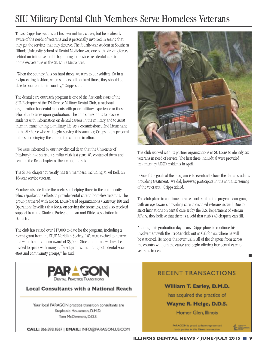## SIU Military Dental Club Members Serve Homeless Veterans

Travis Cripps has yet to start his own military career, but he is already aware of the needs of veterans and is personally involved in seeing that they get the services that they deserve. The fourth-year student at Southern Illinois University School of Dental Medicine was one of the driving forces behind an initiative that is beginning to provide free dental care to homeless veterans in the St. Louis Metro area.

"When the country falls on hard times, we turn to our soldiers. So in a reciprocating fashion, when soldiers fall on hard times, they should be able to count on their country," Cripps said.

The dental care outreach program is one of the first endeavors of the SIU-E chapter of the Tri-Service Military Dental Club, a national organization for dental students with prior military experience or those who plan to serve upon graduation. The club's mission is to provide students with information on dental careers in the military and to assist them in transitioning to military life. As a commissioned 2nd Lieutenant in the Air Force who will begin serving this summer, Cripps had a personal interest in bringing the club to the campus in Alton.

"We were informed by our new clinical dean that the University of Pittsburgh had started a similar club last year. We contacted them and became the Beta chapter of their club," he said.

The SIU-E chapter currently has ten members, including Mikel Bell, an 18-year service veteran.

Members also dedicate themselves to helping those in the community, which sparked the efforts to provide dental care to homeless veterans. The group partnered with two St. Louis-based organizations (Gateway 180 and Operation: Reveille) that focus on serving the homeless, and also received support from the Student Professionalism and Ethics Association in Dentistry.

The club has raised over  $$17,000$  to date for the program, including a recent grant from the SIUE Meridian Society. "We were excited to hear we had won the maximum award of \$5,000. Since that time, we have been invited to speak with many different groups, including both dental societies and community groups," he said.



The club worked with its partner organizations in St. Louis to identify six veterans in need of service. The first three individual were provided treatment by AEGD residents in April.

"One of the goals of the program is to eventually have the dental students providing treatment. We did, however, participate in the initial screening of the veterans," Cripps added.

The club plans to continue to raise funds so that the program can grow, with an eye towards providing care to disabled veterans as well. Due to strict limitations on dental care set by the U.S. Department of Veteran Affairs, they believe that there is a void that club's 40 chapters can fill.

Although his graduation day nears, Cripps plans to continue his involvement with the Tri-Star club out in California, where he will be stationed. He hopes that eventually all of the chapters from across the country will join the cause and begin offering free dental care to veterans in need.



#### **Local Consultants with a National Reach**

Your local PARAGON practice transition consultants are Stephanie Houseman, D.M.D. Tom McDermott, D.D.S.

**RECENT TRANSACTIONS** 

#### William T. Earley, D.M.D.

has acquired the practice of

#### Wayne R. Helge, D.D.S.

Homer Glen, Illinois

PARAGON is proud to have represented both parties in this Illinois transaction.

CALL: 866.898.1867 | EMAIL: INFO@PARAGON.US.COM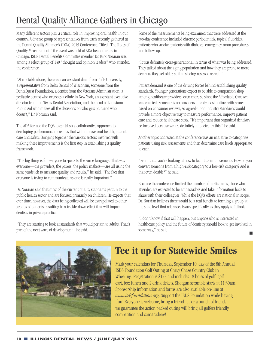# Dental Quality Alliance Gathers in Chicago

Many different sectors play a critical role in improving oral health in our country. A diverse group of representatives from each recently gathered at the Dental QualityAlliance's (DQA)2015 Conference. Titled"The Rolesof Quality Measurement," the event was held at ADA headquarters in Chicago. ISDS Dental Benefits Committee member Dr. Kirk Noraian was among a select group of 130 "thought and opinion leaders" who attended the conference.

"At my table alone, there was an assistant dean from Tufts University, arepresentative from Delta Dentalof Wisconsin, someone from the DentaQuest Foundation, a dentist from the Veterans Administration, a pediatric dentist who oversees a clinic in New York, an assistant executive director from the Texas Dental Association, and the head of Louisiana Public Aid who makes all the decisions on who gets paid and who doesn't," Dr. Noraian said.

The ADA formed the DOA to establish a collaborative approach to developing performance measures that will improve oral health, patient care and safety. Bringing together the various sectors involved with making these improvements is the first step in establishing a quality framework.

"The big thing is for everyone to speak to the same language. That way everyone—the providers, the payers, the policy makers—are all using the same vardstick to measure quality and results," he said. "The fact that everyone is trying to communicate as one is really important."

Dr. Noraian said that most of the current quality standards pertain to the public health sector and are focused primarily on children. He expects that over time, however, the data being collected will be extrapolated to other groups of patients, resulting in a trickle-down effect that will impact dentists in private practice.

"They are starting to look at standards that would pertain to adults. That's part of the next wave of development," he said.

Some of the measurements being examined that were addressed at the two-day conference included chronic periodontitis, topical fluorides, patients who smoke, patients with diabetes, emergency room procedures, and follow-up.

"It wasdefinitely cross-generational in termsof what wasbeingaddressed. They talked about the aging population and how they are prone to more decay as they get older, so that's being assessed as well,"

Patient demand is one of the driving forces behind establishing quality standards. Younger generations expect to be able to comparison shop among healthcare providers, even more so since the Affordable Care Act was enacted. Scorecards on providers already exist online, with scores based on consumer reviews, so agreed-upon industry standards would provide a more objective way to measure performance, improve patient care and reduce healthcare costs. "It's important that organized dentistry be involved because we are definitely impacted by this," he said.

Another topic addressed at the conference was an initiative to categorize patients using risk assessments and then determine care levels appropriate to each.

"From that, you're looking at how to facilitate improvements. How do you convert someone from a high-risk category to a low-risk category? And is that even doable?" he said.

Because the conference limited the number of participants, those who attended are expected to be ambassadors and take information back to share with their colleagues. While the DQA's efforts are national in scope, Dr. Noraian believes there would be a real benefit to forming a group at the state level that addresses issues specifically as they apply to Illinois.

"I don't know if that will happen, but anyone who is interested in healthcare policy and the future of dentistry should look to get involved in some way," he said. г



## **Tee it up for Statewide Smiles**

Mark your calendars for Thursday, September 10, day of the 8th Annual ISDS Foundation Golf Outing at Chevy Chase Country Club in Wheeling. Registration is  $$175$  and includes 18 holes of golf, golf cart, box lunch and 2 drink tickets. Shotgun scramble starts at 11:30am. Sponsorship information and forms are also available on-line at *www.isdsfoundation.org.* Support the ISDS Foundation while having fun! Everyone is welcome, bring a friend . . . or a bunch of friends, we guarantee the action packed outing will bring all golfers friendly competition and camaraderie!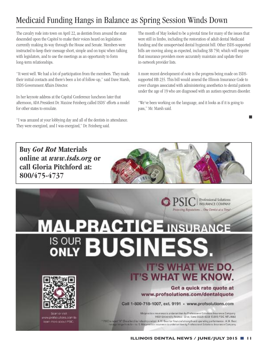#### Medicaid Funding Hangs in Balance as Spring Session Winds Down

The cavalry rode into town on April 22, as dentists from around the state descended upon the Capitol to make their voices heard on legislation currently making its way through the House and Senate. Members were instructed to keep their message short, simple and on topic when talking with legislators, and to use the meetings as an opportunity to form long-term relationships.

"It went well. We had a lot of participation from the members. They made their initial contacts and there's been a lot of follow-up," said Dave Marsh, ISDS GovernmentAffairs Director.

In her keynote address at the Capital Conference luncheon later that afternoon, ADA President Dr. Maxine Feinberg called ISDS' efforts a model for other states to emulate.

"I was amazed at your lobbying day and all of the dentists in attendance. They were energized, and I was energized," Dr. Feinberg said.

The month of May looked to be a pivotal time for many of the issues that were still in limbo, including the restoration of adult dental Medicaid funding and the unsupervised dental hygienist bill. Other ISDS-supported bills are moving along as expected, including SB 750, which will require that insurance providers more accurately maintain and update their in-network provider lists.

A more recent development of note is the progress being made on ISDSsupported HB 235. This bill would amend the Illinois Insurance Code to cover charges associated with administering anesthetics to dental patients under the age of 19 who are diagnosed with an autism spectrum disorder.

"We've been working on the language, and it looks as if it is going to pass," Mr. Marsh said.

 $\Box$ 



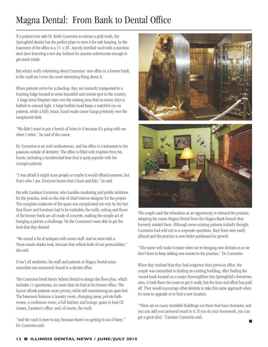## Magna Dental: From Bank to Dental Office

If a patient ever asks Dr. Keith Cummins to extract a gold tooth, the Springfield dentist has the perfect place to store it for safe keeping. In the basement of his office is a 15' x 20', heavily-fortified vault with a stainless steel door featuring a two-day lockout for anyone unfortunate enough to get stuck inside.

But what's really interesting about Cummins' new office in a former bank, is the vault isn't even the most interesting thing about it.

When patients arrive for a checkup, they are instantly transported to a hunting lodge located in some beautiful and remote spot in the country. A large stone fireplace rises over the waiting area that on sunny days is bathed in natural light. A large buffalo head keeps a watchful eye on patients, while a fully intact, hand-made canoe hangs pristinely over the receptionist desk.

"We didn't want to put a bunch of holes in it because It's going with me when I retire," he said of the canoe.

Dr. Cummins is an avid outdoorsman, and his office is a testament to his passions outside of dentistry. The office is filled with trophies from his hunts, including a taxidermied bear that is quite popular with his younger patients.

"I was afraid it might scare people or maybe it would offend someone, but that's who I am. Everyone knows that I hunt and fish," he said.

His wife Candace Cummins, who handles marketing and public relations for the practice, took on the role of chief interior designer for the project. The complete makeover of the space was complicated not only by the fact that floors and furniture had to be washable; the walls, ceiling and floors of the former bank are all made of concrete, making the simple act of hanging a picture a challenge. Yet the Cummins's were able to get the look that they desired.

"We mixed a lot of antiques with newer stuff. And we went with a Texas-meets-Alaska look, because that reflects both of our personalities," she said.

It isn't all aesthetics; the staff and patients at Magna Dental enjoy amenities not commonly found in a dentist office.

The Cummins hired Henry Schein Dental to design the floor plan, which includes 11 operatories, six more than he had at his former office. The layout affords patients more privacy, while still maintaining an open feel. The basement features a laundry room, changing areas, private bathrooms, a conference room, a full kitchen and lounge, space to host CE classes, Candace's office, and, of course, the vault.

"And the vault is here to stay, because there's no getting it out of there," Dr. Cummins said.





The couple used the relocation as an opportunity to rebrand the practice, adopting the name Magna Dental from the Magna Bank branch that formerly resided there. Although some existing patients initially thought Cummins had sold out to a corporate operation, their fears were easily allayed and the practice is now better positioned for growth.

"The name will make it easier when we'rebringing new dentists in so we don't have to keep adding new names to the practice," Dr. Cummins.

When they realized that they had outgrown their previous office, the couple was committed to finding an existing building. After finding the vacant bank located on a major thoroughfare into Springfield's downtown area, it took them two years to get it ready, but the time and effort has paid off. They would encourage other dentists to take this same approach when it's time to upgrade or to find a new location.

"There are so many available buildings out there that have character, and you can add your personal touch to it. If you do your homework, you can get a great deal," Candace Cummins said.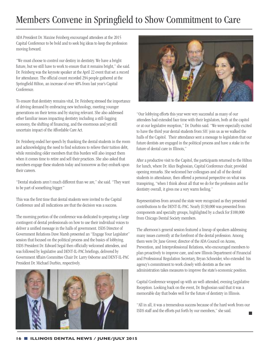## Members Convene in Springfield to Show Commitment to Care

ADA President Dr. Maxine Feinberg encouraged attendees at the 2015 Capital Conference to be bold and to seek big ideas to keep the profession moving forward.

"We must choose to control our destiny in dentistry. We have a bright future, but we still have to work to ensure that it remains bright," she said. Dr. Feinberg was the keynote speaker at the April 22 event that set a record for attendance. The official count recorded 294 people gathered at the Springfield Hilton, an increase of over 40% from last year's Capital Conference.

To ensure that dentistry remains vital, Dr. Feinberg stressed the importance of driving demand by embracing new technology, meeting younger generations on their terms and by staying relevant. She also addressed other familiar issues impacting dentistry including a still-lagging economy, the shifting of financing, and the enormous and yet still uncertain impact of the Affordable Care Act.

Dr. Feinberg ended her speech by thanking the dental students in the room and acknowledging the need to find solutions to relieve their tuition debt, while reminding older members that this burden will also impact them when it comes time to retire and sell their practices. She also asked that members engage these students today and tomorrow as they embark upon their careers.

"Dental students aren't much different than we are," she said. "They want to be part of something bigger."

This was the first time that dental students were invited to the Capital Conference and all indications are that the decision was a success.

The morning portion of the conference was dedicated to preparing a large contingent of dental professionals on how to use their individual voices to deliver a unified message in the halls of government. ISDS Director of Government Relations Dave Marsh presented an "Engage Your Legislator" session that focused on the political process and the basics of lobbying. ISDS President Dr. Edward Segal then officially welcomed attendees, and was followed by legislative and DENT-IL-PAC briefings, delivered by GovernmentAffairs Committee Chair Dr.Larry Osborneand DENT-IL-PAC President Dr. Michael Durbin, respectively.





"Our lobbying efforts this year were very successful as many of our attendees had extended face time with their legislators, both at the capitol or at our legislative reception," Dr. Durbin said. "We were especially excited to have the third year dental students from SIU join us as we walked the halls of the Capitol. Their attendance sent a message to legislators that our future dentists are engaged in the political process and have a stake in the future of dental care in Illinois."

After a productive visit to the Capitol, the participants returned to the Hilton for lunch, where Dr. Alice Boghosian, Capital Conference chair, provided opening remarks. She welcomed her colleagues and all of the dental students in attendance, then offered a personal perspective on what was transpiring, "when I think about all that we do for the profession and for dentistry overall, it gives me a very warm feeling."

Representatives from around the state were recognized as they presented contributions to the DENT-IL-PAC. Nearly \$130,000 was presented from components and specialty groups, highlighted by a check for \$100,000 from Chicago Dental Society members.

The afternoon's general session featured a lineup of speakers addressing many issues currently at the forefront of the dental profession. Among them were Dr. Jane Grover, director of the ADA Council on Access, Prevention, and Interprofessional Relations, who encouraged members to plan proactively to improve care, and new Illinois Department of Financial and Professional Regulation Secretary, Bryan Schneider, who extended his agency's commitment to work closely with dentists as the new administration takes measures to improve the state's economic position.

Capital Conference wrapped up with an well-attended, evening Legislative Reception. Looking back on the event, Dr. Boghosian said that it was a memorable day that bodes well for the future of dentistry in Illinois.

"All in all, it was a tremendous success because of the hard work from our ISDS staff and the efforts put forth by our members," she said.